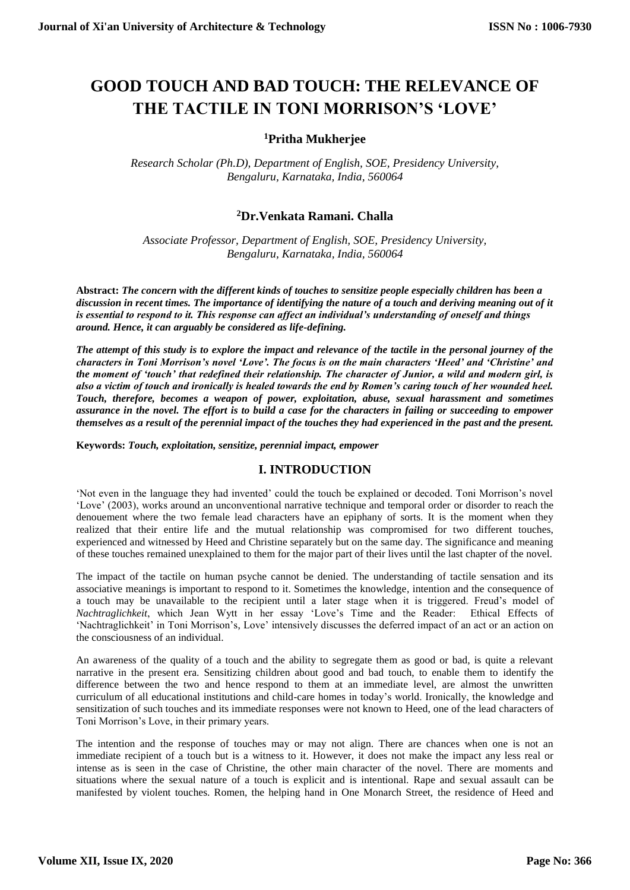# **GOOD TOUCH AND BAD TOUCH: THE RELEVANCE OF THE TACTILE IN TONI MORRISON'S 'LOVE'**

## **<sup>1</sup>Pritha Mukherjee**

*Research Scholar (Ph.D), Department of English, SOE, Presidency University, Bengaluru, Karnataka, India, 560064*

### **<sup>2</sup>Dr.Venkata Ramani. Challa**

*Associate Professor, Department of English, SOE, Presidency University, Bengaluru, Karnataka, India, 560064*

**Abstract:** *The concern with the different kinds of touches to sensitize people especially children has been a discussion in recent times. The importance of identifying the nature of a touch and deriving meaning out of it is essential to respond to it. This response can affect an individual's understanding of oneself and things around. Hence, it can arguably be considered as life-defining.* 

*The attempt of this study is to explore the impact and relevance of the tactile in the personal journey of the characters in Toni Morrison's novel 'Love'. The focus is on the main characters 'Heed' and 'Christine' and the moment of 'touch' that redefined their relationship. The character of Junior, a wild and modern girl, is also a victim of touch and ironically is healed towards the end by Romen's caring touch of her wounded heel. Touch, therefore, becomes a weapon of power, exploitation, abuse, sexual harassment and sometimes assurance in the novel. The effort is to build a case for the characters in failing or succeeding to empower themselves as a result of the perennial impact of the touches they had experienced in the past and the present.*

**Keywords:** *Touch, exploitation, sensitize, perennial impact, empower*

#### **I. INTRODUCTION**

'Not even in the language they had invented' could the touch be explained or decoded. Toni Morrison's novel 'Love' (2003), works around an unconventional narrative technique and temporal order or disorder to reach the denouement where the two female lead characters have an epiphany of sorts. It is the moment when they realized that their entire life and the mutual relationship was compromised for two different touches, experienced and witnessed by Heed and Christine separately but on the same day. The significance and meaning of these touches remained unexplained to them for the major part of their lives until the last chapter of the novel.

The impact of the tactile on human psyche cannot be denied. The understanding of tactile sensation and its associative meanings is important to respond to it. Sometimes the knowledge, intention and the consequence of a touch may be unavailable to the recipient until a later stage when it is triggered. Freud's model of *Nachtraglichkeit*, which Jean Wytt in her essay 'Love's Time and the Reader: Ethical Effects of 'Nachtraglichkeit' in Toni Morrison's, Love' intensively discusses the deferred impact of an act or an action on the consciousness of an individual.

An awareness of the quality of a touch and the ability to segregate them as good or bad, is quite a relevant narrative in the present era. Sensitizing children about good and bad touch, to enable them to identify the difference between the two and hence respond to them at an immediate level, are almost the unwritten curriculum of all educational institutions and child-care homes in today's world. Ironically, the knowledge and sensitization of such touches and its immediate responses were not known to Heed, one of the lead characters of Toni Morrison's Love, in their primary years.

The intention and the response of touches may or may not align. There are chances when one is not an immediate recipient of a touch but is a witness to it. However, it does not make the impact any less real or intense as is seen in the case of Christine, the other main character of the novel. There are moments and situations where the sexual nature of a touch is explicit and is intentional. Rape and sexual assault can be manifested by violent touches. Romen, the helping hand in One Monarch Street, the residence of Heed and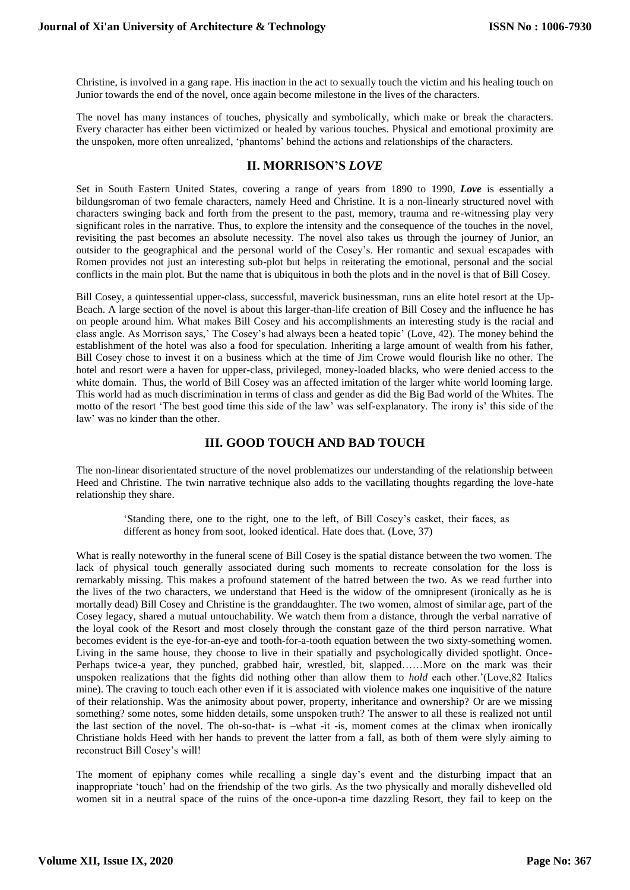Christine, is involved in a gang rape. His inaction in the act to sexually touch the victim and his healing touch on Junior towards the end of the novel, once again become milestone in the lives of the characters.

The novel has many instances of touches, physically and symbolically, which make or break the characters. Every character has either been victimized or healed by various touches. Physical and emotional proximity are the unspoken, more often unrealized, 'phantoms' behind the actions and relationships of the characters.

#### **II. MORRISON'S** *LOVE*

Set in South Eastern United States, covering a range of years from 1890 to 1990, *Love* is essentially a bildungsroman of two female characters, namely Heed and Christine. It is a non-linearly structured novel with characters swinging back and forth from the present to the past, memory, trauma and re-witnessing play very significant roles in the narrative. Thus, to explore the intensity and the consequence of the touches in the novel, revisiting the past becomes an absolute necessity. The novel also takes us through the journey of Junior, an outsider to the geographical and the personal world of the Cosey's. Her romantic and sexual escapades with Romen provides not just an interesting sub-plot but helps in reiterating the emotional, personal and the social conflicts in the main plot. But the name that is ubiquitous in both the plots and in the novel is that of Bill Cosey.

Bill Cosey, a quintessential upper-class, successful, maverick businessman, runs an elite hotel resort at the Up-Beach. A large section of the novel is about this larger-than-life creation of Bill Cosey and the influence he has on people around him. What makes Bill Cosey and his accomplishments an interesting study is the racial and class angle. As Morrison says,' The Cosey's had always been a heated topic' (Love, 42). The money behind the establishment of the hotel was also a food for speculation. Inheriting a large amount of wealth from his father, Bill Cosey chose to invest it on a business which at the time of Jim Crowe would flourish like no other. The hotel and resort were a haven for upper-class, privileged, money-loaded blacks, who were denied access to the white domain. Thus, the world of Bill Cosey was an affected imitation of the larger white world looming large. This world had as much discrimination in terms of class and gender as did the Big Bad world of the Whites. The motto of the resort 'The best good time this side of the law' was self-explanatory. The irony is' this side of the law' was no kinder than the other.

## **III. GOOD TOUCH AND BAD TOUCH**

The non-linear disorientated structure of the novel problematizes our understanding of the relationship between Heed and Christine. The twin narrative technique also adds to the vacillating thoughts regarding the love-hate relationship they share.

'Standing there, one to the right, one to the left, of Bill Cosey's casket, their faces, as different as honey from soot, looked identical. Hate does that. (Love, 37)

What is really noteworthy in the funeral scene of Bill Cosey is the spatial distance between the two women. The lack of physical touch generally associated during such moments to recreate consolation for the loss is remarkably missing. This makes a profound statement of the hatred between the two. As we read further into the lives of the two characters, we understand that Heed is the widow of the omnipresent (ironically as he is mortally dead) Bill Cosey and Christine is the granddaughter. The two women, almost of similar age, part of the Cosey legacy, shared a mutual untouchability. We watch them from a distance, through the verbal narrative of the loyal cook of the Resort and most closely through the constant gaze of the third person narrative. What becomes evident is the eye-for-an-eye and tooth-for-a-tooth equation between the two sixty-something women. Living in the same house, they choose to live in their spatially and psychologically divided spotlight. Once-Perhaps twice-a year, they punched, grabbed hair, wrestled, bit, slapped……More on the mark was their unspoken realizations that the fights did nothing other than allow them to *hold* each other.'(Love,82 Italics mine). The craving to touch each other even if it is associated with violence makes one inquisitive of the nature of their relationship. Was the animosity about power, property, inheritance and ownership? Or are we missing something? some notes, some hidden details, some unspoken truth? The answer to all these is realized not until the last section of the novel. The oh-so-that- is –what -it -is, moment comes at the climax when ironically Christiane holds Heed with her hands to prevent the latter from a fall, as both of them were slyly aiming to reconstruct Bill Cosey's will!

The moment of epiphany comes while recalling a single day's event and the disturbing impact that an inappropriate 'touch' had on the friendship of the two girls. As the two physically and morally dishevelled old women sit in a neutral space of the ruins of the once-upon-a time dazzling Resort, they fail to keep on the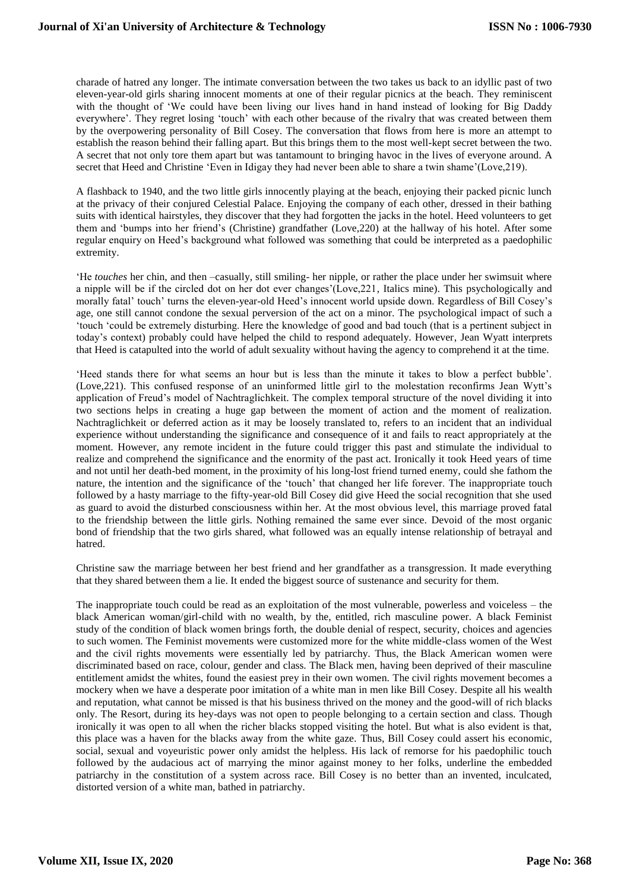charade of hatred any longer. The intimate conversation between the two takes us back to an idyllic past of two eleven-year-old girls sharing innocent moments at one of their regular picnics at the beach. They reminiscent with the thought of 'We could have been living our lives hand in hand instead of looking for Big Daddy everywhere'. They regret losing 'touch' with each other because of the rivalry that was created between them by the overpowering personality of Bill Cosey. The conversation that flows from here is more an attempt to establish the reason behind their falling apart. But this brings them to the most well-kept secret between the two. A secret that not only tore them apart but was tantamount to bringing havoc in the lives of everyone around. A secret that Heed and Christine 'Even in Idigay they had never been able to share a twin shame'(Love,219).

A flashback to 1940, and the two little girls innocently playing at the beach, enjoying their packed picnic lunch at the privacy of their conjured Celestial Palace. Enjoying the company of each other, dressed in their bathing suits with identical hairstyles, they discover that they had forgotten the jacks in the hotel. Heed volunteers to get them and 'bumps into her friend's (Christine) grandfather (Love,220) at the hallway of his hotel. After some regular enquiry on Heed's background what followed was something that could be interpreted as a paedophilic extremity.

'He *touches* her chin, and then –casually, still smiling- her nipple, or rather the place under her swimsuit where a nipple will be if the circled dot on her dot ever changes'(Love,221, Italics mine). This psychologically and morally fatal' touch' turns the eleven-year-old Heed's innocent world upside down. Regardless of Bill Cosey's age, one still cannot condone the sexual perversion of the act on a minor. The psychological impact of such a 'touch 'could be extremely disturbing. Here the knowledge of good and bad touch (that is a pertinent subject in today's context) probably could have helped the child to respond adequately. However, Jean Wyatt interprets that Heed is catapulted into the world of adult sexuality without having the agency to comprehend it at the time.

'Heed stands there for what seems an hour but is less than the minute it takes to blow a perfect bubble'. (Love,221). This confused response of an uninformed little girl to the molestation reconfirms Jean Wytt's application of Freud's model of Nachtraglichkeit. The complex temporal structure of the novel dividing it into two sections helps in creating a huge gap between the moment of action and the moment of realization. Nachtraglichkeit or deferred action as it may be loosely translated to, refers to an incident that an individual experience without understanding the significance and consequence of it and fails to react appropriately at the moment. However, any remote incident in the future could trigger this past and stimulate the individual to realize and comprehend the significance and the enormity of the past act. Ironically it took Heed years of time and not until her death-bed moment, in the proximity of his long-lost friend turned enemy, could she fathom the nature, the intention and the significance of the 'touch' that changed her life forever. The inappropriate touch followed by a hasty marriage to the fifty-year-old Bill Cosey did give Heed the social recognition that she used as guard to avoid the disturbed consciousness within her. At the most obvious level, this marriage proved fatal to the friendship between the little girls. Nothing remained the same ever since. Devoid of the most organic bond of friendship that the two girls shared, what followed was an equally intense relationship of betrayal and hatred.

Christine saw the marriage between her best friend and her grandfather as a transgression. It made everything that they shared between them a lie. It ended the biggest source of sustenance and security for them.

The inappropriate touch could be read as an exploitation of the most vulnerable, powerless and voiceless – the black American woman/girl-child with no wealth, by the, entitled, rich masculine power. A black Feminist study of the condition of black women brings forth, the double denial of respect, security, choices and agencies to such women. The Feminist movements were customized more for the white middle-class women of the West and the civil rights movements were essentially led by patriarchy. Thus, the Black American women were discriminated based on race, colour, gender and class. The Black men, having been deprived of their masculine entitlement amidst the whites, found the easiest prey in their own women. The civil rights movement becomes a mockery when we have a desperate poor imitation of a white man in men like Bill Cosey. Despite all his wealth and reputation, what cannot be missed is that his business thrived on the money and the good-will of rich blacks only. The Resort, during its hey-days was not open to people belonging to a certain section and class. Though ironically it was open to all when the richer blacks stopped visiting the hotel. But what is also evident is that, this place was a haven for the blacks away from the white gaze. Thus, Bill Cosey could assert his economic, social, sexual and voyeuristic power only amidst the helpless. His lack of remorse for his paedophilic touch followed by the audacious act of marrying the minor against money to her folks, underline the embedded patriarchy in the constitution of a system across race. Bill Cosey is no better than an invented, inculcated, distorted version of a white man, bathed in patriarchy.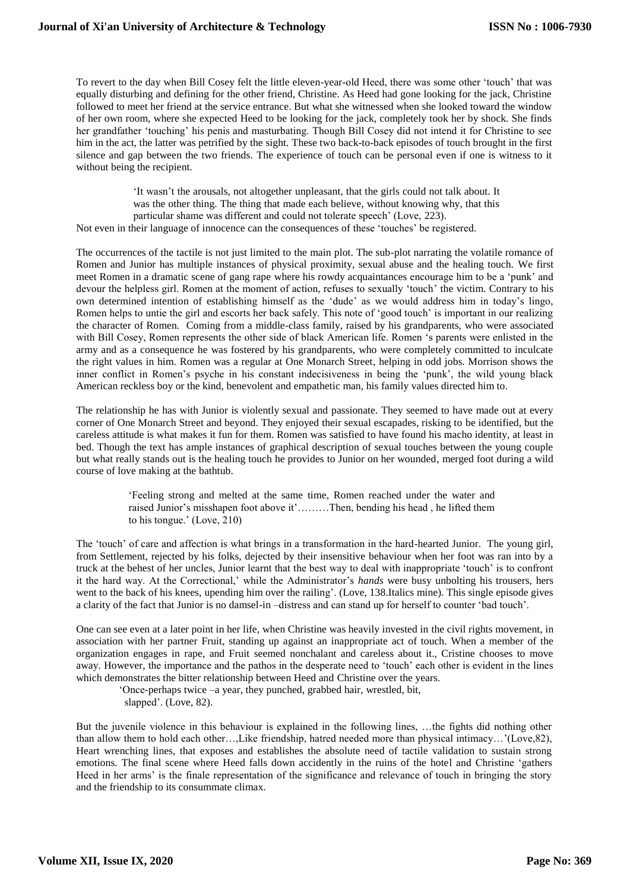To revert to the day when Bill Cosey felt the little eleven-year-old Heed, there was some other 'touch' that was equally disturbing and defining for the other friend, Christine. As Heed had gone looking for the jack, Christine followed to meet her friend at the service entrance. But what she witnessed when she looked toward the window of her own room, where she expected Heed to be looking for the jack, completely took her by shock. She finds her grandfather 'touching' his penis and masturbating. Though Bill Cosey did not intend it for Christine to see him in the act, the latter was petrified by the sight. These two back-to-back episodes of touch brought in the first silence and gap between the two friends. The experience of touch can be personal even if one is witness to it without being the recipient.

'It wasn't the arousals, not altogether unpleasant, that the girls could not talk about. It was the other thing. The thing that made each believe, without knowing why, that this particular shame was different and could not tolerate speech' (Love, 223). Not even in their language of innocence can the consequences of these 'touches' be registered.

The occurrences of the tactile is not just limited to the main plot. The sub-plot narrating the volatile romance of Romen and Junior has multiple instances of physical proximity, sexual abuse and the healing touch. We first meet Romen in a dramatic scene of gang rape where his rowdy acquaintances encourage him to be a 'punk' and devour the helpless girl. Romen at the moment of action, refuses to sexually 'touch' the victim. Contrary to his own determined intention of establishing himself as the 'dude' as we would address him in today's lingo, Romen helps to untie the girl and escorts her back safely. This note of 'good touch' is important in our realizing the character of Romen. Coming from a middle-class family, raised by his grandparents, who were associated with Bill Cosey, Romen represents the other side of black American life. Romen 's parents were enlisted in the army and as a consequence he was fostered by his grandparents, who were completely committed to inculcate the right values in him. Romen was a regular at One Monarch Street, helping in odd jobs. Morrison shows the inner conflict in Romen's psyche in his constant indecisiveness in being the 'punk', the wild young black American reckless boy or the kind, benevolent and empathetic man, his family values directed him to.

The relationship he has with Junior is violently sexual and passionate. They seemed to have made out at every corner of One Monarch Street and beyond. They enjoyed their sexual escapades, risking to be identified, but the careless attitude is what makes it fun for them. Romen was satisfied to have found his macho identity, at least in bed. Though the text has ample instances of graphical description of sexual touches between the young couple but what really stands out is the healing touch he provides to Junior on her wounded, merged foot during a wild course of love making at the bathtub.

> 'Feeling strong and melted at the same time, Romen reached under the water and raised Junior's misshapen foot above it'………Then, bending his head , he lifted them to his tongue.' (Love, 210)

The 'touch' of care and affection is what brings in a transformation in the hard-hearted Junior. The young girl, from Settlement, rejected by his folks, dejected by their insensitive behaviour when her foot was ran into by a truck at the behest of her uncles, Junior learnt that the best way to deal with inappropriate 'touch' is to confront it the hard way. At the Correctional,' while the Administrator's *hands* were busy unbolting his trousers, hers went to the back of his knees, upending him over the railing'. (Love, 138.Italics mine). This single episode gives a clarity of the fact that Junior is no damsel-in –distress and can stand up for herself to counter 'bad touch'.

One can see even at a later point in her life, when Christine was heavily invested in the civil rights movement, in association with her partner Fruit, standing up against an inappropriate act of touch. When a member of the organization engages in rape, and Fruit seemed nonchalant and careless about it., Cristine chooses to move away. However, the importance and the pathos in the desperate need to 'touch' each other is evident in the lines which demonstrates the bitter relationship between Heed and Christine over the years.

'Once-perhaps twice –a year, they punched, grabbed hair, wrestled, bit, slapped'. (Love, 82).

But the juvenile violence in this behaviour is explained in the following lines, …the fights did nothing other than allow them to hold each other…,Like friendship, hatred needed more than physical intimacy…'(Love,82), Heart wrenching lines, that exposes and establishes the absolute need of tactile validation to sustain strong emotions. The final scene where Heed falls down accidently in the ruins of the hotel and Christine 'gathers Heed in her arms' is the finale representation of the significance and relevance of touch in bringing the story and the friendship to its consummate climax.